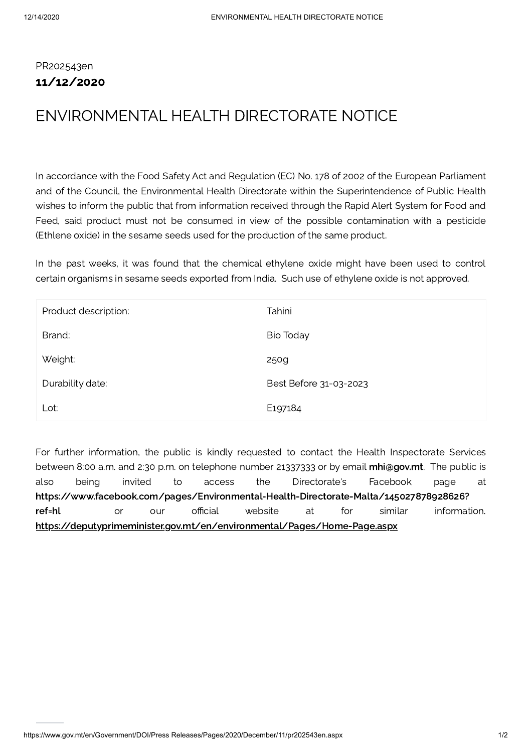## PR202543en 11/12/2020

## ENVIRONMENTAL HEALTH DIRECTORATE NOTICE

In accordance with the Food Safety Act and Regulation (EC) No. 178 of 2002 of the European Parliament and of the Council, the Environmental Health Directorate within the Superintendence of Public Health wishes to inform the public that from information received through the Rapid Alert System for Food and Feed, said product must not be consumed in view of the possible contamination with a pesticide (Ethlene oxide) in the sesame seeds used for the production of the same product.

In the past weeks, it was found that the chemical ethylene oxide might have been used to control certain organisms in sesame seeds exported from India. Such use of ethylene oxide is not approved.

| Product description: | Tahini                 |
|----------------------|------------------------|
| Brand:               | Bio Today              |
| Weight:              | 250g                   |
| Durability date:     | Best Before 31-03-2023 |
| Lot:                 | E <sub>197184</sub>    |

For further information, the public is kindly requested to contact the Health Inspectorate Services between 8:00 a.m. and 2:30 p.m. on telephone number 21337333 or by email [mhi@gov.mt](mailto:mhi@gov.mt). The public is also being invited to access the Directorate's Facebook page at [https://www.facebook.com/pages/Environmental-Health-Directorate-Malta/145027878928626?](https://www.facebook.com/pages/Environmental-Health-Directorate-Malta/145027878928626?ref=hl) ref=hl or our official website at for similar information. <https://deputyprimeminister.gov.mt/en/environmental/Pages/Home-Page.aspx>